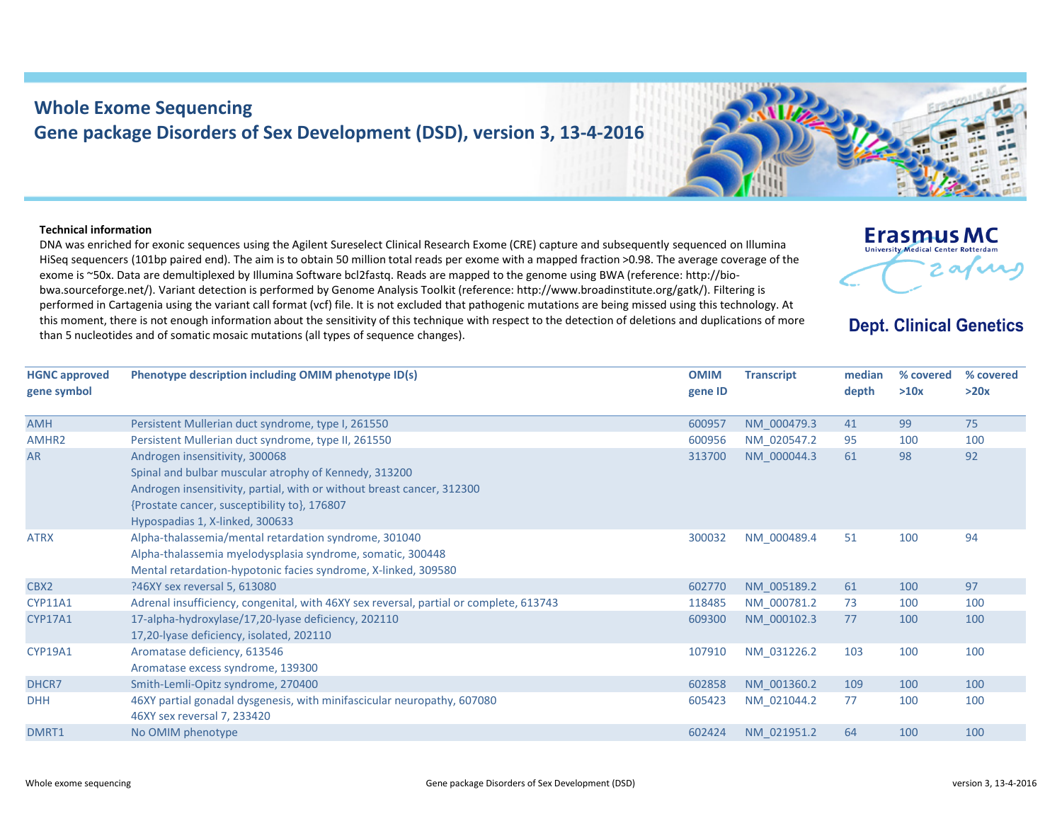## **Whole Exome Sequencing Gene package Disorders of Sex Development (DSD), version 3, 13‐4‐2016**

## **Technical information**

DNA was enriched for exonic sequences using the Agilent Sureselect Clinical Research Exome (CRE) capture and subsequently sequenced on Illumina HiSeq sequencers (101bp paired end). The aim is to obtain 50 million total reads per exome with <sup>a</sup> mapped fraction >0.98. The average coverage of the exome is ~50x. Data are demultiplexed by Illumina Software bcl2fastq. Reads are mapped to the genome using BWA (reference: http://bio‐ bwa.sourceforge.net/). Variant detection is performed by Genome Analysis Toolkit (reference: http://www.broadinstitute.org/gatk/). Filtering is performed in Cartagenia using the variant call format (vcf) file. It is not excluded that pathogenic mutations are being missed using this technology. At this moment, there is not enough information about the sensitivity of this technique with respect to the detection of deletions and duplications of more than 5 nucleotides and of somatic mosaic mutations (all types of sequence changes).

| <b>HGNC approved</b> | Phenotype description including OMIM phenotype ID(s)                                   | <b>OMIM</b> | <b>Transcript</b> | median | % covered | % covered |
|----------------------|----------------------------------------------------------------------------------------|-------------|-------------------|--------|-----------|-----------|
| gene symbol          |                                                                                        | gene ID     |                   | depth  | >10x      | >20x      |
|                      |                                                                                        |             |                   |        |           |           |
| AMH                  | Persistent Mullerian duct syndrome, type I, 261550                                     | 600957      | NM 000479.3       | 41     | 99        | 75        |
| AMHR2                | Persistent Mullerian duct syndrome, type II, 261550                                    | 600956      | NM 020547.2       | 95     | 100       | 100       |
| <b>AR</b>            | Androgen insensitivity, 300068                                                         | 313700      | NM 000044.3       | 61     | 98        | 92        |
|                      | Spinal and bulbar muscular atrophy of Kennedy, 313200                                  |             |                   |        |           |           |
|                      | Androgen insensitivity, partial, with or without breast cancer, 312300                 |             |                   |        |           |           |
|                      | {Prostate cancer, susceptibility to}, 176807                                           |             |                   |        |           |           |
|                      | Hypospadias 1, X-linked, 300633                                                        |             |                   |        |           |           |
| <b>ATRX</b>          | Alpha-thalassemia/mental retardation syndrome, 301040                                  | 300032      | NM 000489.4       | 51     | 100       | 94        |
|                      | Alpha-thalassemia myelodysplasia syndrome, somatic, 300448                             |             |                   |        |           |           |
|                      | Mental retardation-hypotonic facies syndrome, X-linked, 309580                         |             |                   |        |           |           |
| CBX2                 | ?46XY sex reversal 5, 613080                                                           | 602770      | NM 005189.2       | 61     | 100       | 97        |
| <b>CYP11A1</b>       | Adrenal insufficiency, congenital, with 46XY sex reversal, partial or complete, 613743 | 118485      | NM_000781.2       | 73     | 100       | 100       |
| <b>CYP17A1</b>       | 17-alpha-hydroxylase/17,20-lyase deficiency, 202110                                    | 609300      | NM 000102.3       | 77     | 100       | 100       |
|                      | 17,20-lyase deficiency, isolated, 202110                                               |             |                   |        |           |           |
| <b>CYP19A1</b>       | Aromatase deficiency, 613546                                                           | 107910      | NM 031226.2       | 103    | 100       | 100       |
|                      | Aromatase excess syndrome, 139300                                                      |             |                   |        |           |           |
| DHCR7                | Smith-Lemli-Opitz syndrome, 270400                                                     | 602858      | NM 001360.2       | 109    | 100       | 100       |
| <b>DHH</b>           | 46XY partial gonadal dysgenesis, with minifascicular neuropathy, 607080                | 605423      | NM_021044.2       | 77     | 100       | 100       |
|                      | 46XY sex reversal 7, 233420                                                            |             |                   |        |           |           |
| DMRT1                | No OMIM phenotype                                                                      | 602424      | NM 021951.2       | 64     | 100       | 100       |
|                      |                                                                                        |             |                   |        |           |           |



**Erasmus MC** University Medical Center Rotterdam

**Dept. Clinical Genetics**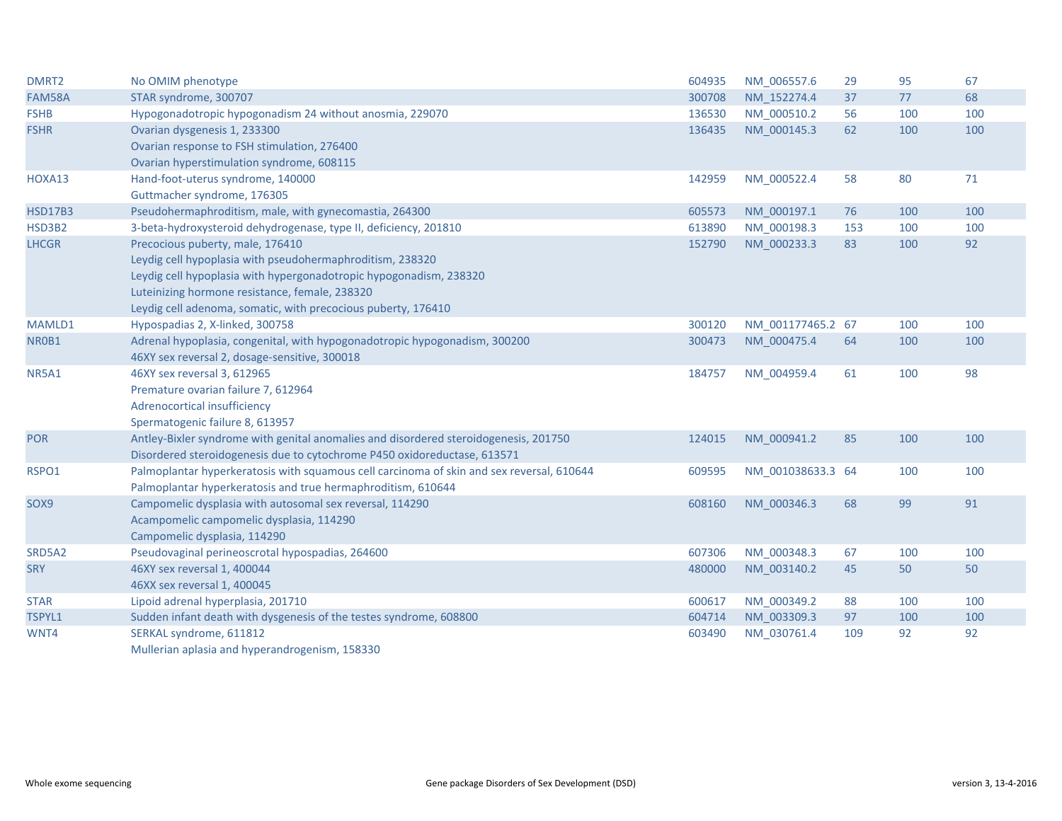| DMRT2          | No OMIM phenotype                                                                         | 604935 | NM 006557.6       | 29  | 95  | 67  |
|----------------|-------------------------------------------------------------------------------------------|--------|-------------------|-----|-----|-----|
| FAM58A         | STAR syndrome, 300707                                                                     | 300708 | NM 152274.4       | 37  | 77  | 68  |
| <b>FSHB</b>    | Hypogonadotropic hypogonadism 24 without anosmia, 229070                                  | 136530 | NM_000510.2       | 56  | 100 | 100 |
| <b>FSHR</b>    | Ovarian dysgenesis 1, 233300                                                              | 136435 | NM 000145.3       | 62  | 100 | 100 |
|                | Ovarian response to FSH stimulation, 276400                                               |        |                   |     |     |     |
|                | Ovarian hyperstimulation syndrome, 608115                                                 |        |                   |     |     |     |
| HOXA13         | Hand-foot-uterus syndrome, 140000                                                         | 142959 | NM 000522.4       | 58  | 80  | 71  |
|                | Guttmacher syndrome, 176305                                                               |        |                   |     |     |     |
| <b>HSD17B3</b> | Pseudohermaphroditism, male, with gynecomastia, 264300                                    | 605573 | NM 000197.1       | 76  | 100 | 100 |
| HSD3B2         | 3-beta-hydroxysteroid dehydrogenase, type II, deficiency, 201810                          | 613890 | NM_000198.3       | 153 | 100 | 100 |
| <b>LHCGR</b>   | Precocious puberty, male, 176410                                                          | 152790 | NM_000233.3       | 83  | 100 | 92  |
|                | Leydig cell hypoplasia with pseudohermaphroditism, 238320                                 |        |                   |     |     |     |
|                | Leydig cell hypoplasia with hypergonadotropic hypogonadism, 238320                        |        |                   |     |     |     |
|                | Luteinizing hormone resistance, female, 238320                                            |        |                   |     |     |     |
|                | Leydig cell adenoma, somatic, with precocious puberty, 176410                             |        |                   |     |     |     |
| MAMLD1         | Hypospadias 2, X-linked, 300758                                                           | 300120 | NM 001177465.2 67 |     | 100 | 100 |
| NR0B1          | Adrenal hypoplasia, congenital, with hypogonadotropic hypogonadism, 300200                | 300473 | NM 000475.4       | 64  | 100 | 100 |
|                | 46XY sex reversal 2, dosage-sensitive, 300018                                             |        |                   |     |     |     |
| <b>NR5A1</b>   | 46XY sex reversal 3, 612965                                                               | 184757 | NM 004959.4       | 61  | 100 | 98  |
|                | Premature ovarian failure 7, 612964                                                       |        |                   |     |     |     |
|                | Adrenocortical insufficiency                                                              |        |                   |     |     |     |
|                | Spermatogenic failure 8, 613957                                                           |        |                   |     |     |     |
| <b>POR</b>     | Antley-Bixler syndrome with genital anomalies and disordered steroidogenesis, 201750      | 124015 | NM 000941.2       | 85  | 100 | 100 |
|                | Disordered steroidogenesis due to cytochrome P450 oxidoreductase, 613571                  |        |                   |     |     |     |
| RSPO1          | Palmoplantar hyperkeratosis with squamous cell carcinoma of skin and sex reversal, 610644 | 609595 | NM_001038633.3 64 |     | 100 | 100 |
|                | Palmoplantar hyperkeratosis and true hermaphroditism, 610644                              |        |                   |     |     |     |
| SOX9           | Campomelic dysplasia with autosomal sex reversal, 114290                                  | 608160 | NM 000346.3       | 68  | 99  | 91  |
|                | Acampomelic campomelic dysplasia, 114290                                                  |        |                   |     |     |     |
|                | Campomelic dysplasia, 114290                                                              |        |                   |     |     |     |
| SRD5A2         | Pseudovaginal perineoscrotal hypospadias, 264600                                          | 607306 | NM 000348.3       | 67  | 100 | 100 |
| <b>SRY</b>     | 46XY sex reversal 1, 400044                                                               | 480000 | NM 003140.2       | 45  | 50  | 50  |
|                | 46XX sex reversal 1, 400045                                                               |        |                   |     |     |     |
| <b>STAR</b>    | Lipoid adrenal hyperplasia, 201710                                                        | 600617 | NM 000349.2       | 88  | 100 | 100 |
| TSPYL1         | Sudden infant death with dysgenesis of the testes syndrome, 608800                        | 604714 | NM_003309.3       | 97  | 100 | 100 |
| WNT4           | SERKAL syndrome, 611812                                                                   | 603490 | NM 030761.4       | 109 | 92  | 92  |
|                | Mullerian aplasia and hyperandrogenism, 158330                                            |        |                   |     |     |     |